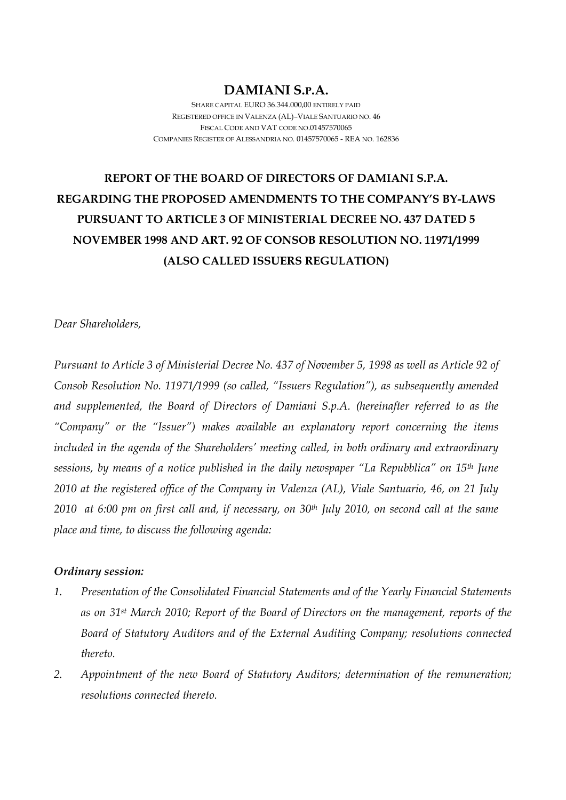## **DAMIANI S.P.A.**

SHARE CAPITAL EURO 36.344.000,00 ENTIRELY PAID REGISTERED OFFICE IN VALENZA (AL)–VIALE SANTUARIO NO. 46 FISCAL CODE AND VAT CODE NO.01457570065 COMPANIES REGISTER OF ALESSANDRIA NO. 01457570065 - REA NO. 162836

# **REPORT OF THE BOARD OF DIRECTORS OF DAMIANI S.P.A. REGARDING THE PROPOSED AMENDMENTS TO THE COMPANY'S BY-LAWS PURSUANT TO ARTICLE 3 OF MINISTERIAL DECREE NO. 437 DATED 5 NOVEMBER 1998 AND ART. 92 OF CONSOB RESOLUTION NO. 11971/1999 (ALSO CALLED ISSUERS REGULATION)**

*Dear Shareholders,* 

*Pursuant to Article 3 of Ministerial Decree No. 437 of November 5, 1998 as well as Article 92 of Consob Resolution No. 11971/1999 (so called, "Issuers Regulation"), as subsequently amended and supplemented, the Board of Directors of Damiani S.p.A. (hereinafter referred to as the "Company" or the "Issuer") makes available an explanatory report concerning the items included in the agenda of the Shareholders' meeting called, in both ordinary and extraordinary sessions, by means of a notice published in the daily newspaper "La Repubblica" on 15th June 2010 at the registered office of the Company in Valenza (AL), Viale Santuario, 46, on 21 July 2010 at 6:00 pm on first call and, if necessary, on 30th July 2010, on second call at the same place and time, to discuss the following agenda:* 

#### *Ordinary session:*

- *1. Presentation of the Consolidated Financial Statements and of the Yearly Financial Statements as on 31st March 2010; Report of the Board of Directors on the management, reports of the Board of Statutory Auditors and of the External Auditing Company; resolutions connected thereto.*
- *2. Appointment of the new Board of Statutory Auditors; determination of the remuneration; resolutions connected thereto.*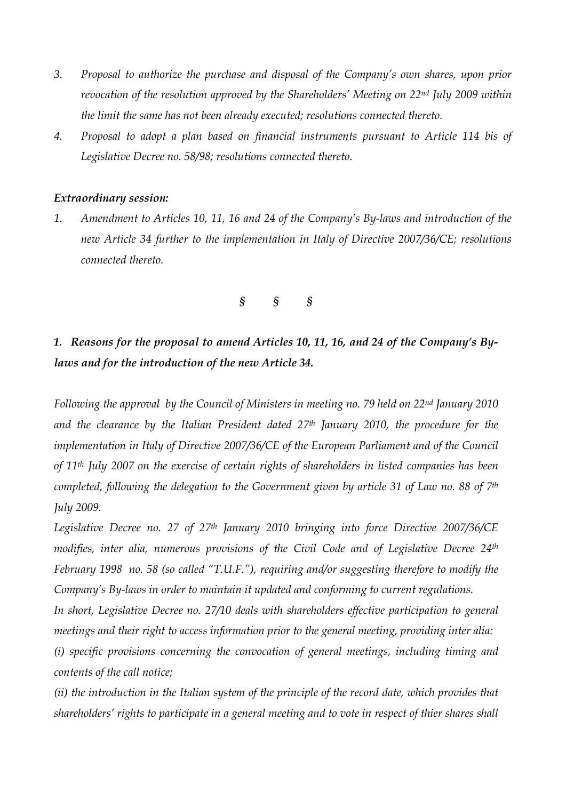- *3. Proposal to authorize the purchase and disposal of the Company's own shares, upon prior revocation of the resolution approved by the Shareholders' Meeting on 22nd July 2009 within the limit the same has not been already executed; resolutions connected thereto.*
- *4. Proposal to adopt a plan based on financial instruments pursuant to Article 114 bis of Legislative Decree no. 58/98; resolutions connected thereto.*

#### *Extraordinary session:*

*1. Amendment to Articles 10, 11, 16 and 24 of the Company's By-laws and introduction of the new Article 34 further to the implementation in Italy of Directive 2007/36/CE; resolutions connected thereto.* 

#### *§ § §*

*1. Reasons for the proposal to amend Articles 10, 11, 16, and 24 of the Company's Bylaws and for the introduction of the new Article 34.* 

*Following the approval by the Council of Ministers in meeting no. 79 held on 22nd January 2010 and the clearance by the Italian President dated 27th January 2010, the procedure for the implementation in Italy of Directive 2007/36/CE of the European Parliament and of the Council of 11th July 2007 on the exercise of certain rights of shareholders in listed companies has been completed, following the delegation to the Government given by article 31 of Law no. 88 of 7th July 2009.* 

*Legislative Decree no. 27 of 27th January 2010 bringing into force Directive 2007/36/CE modifies, inter alia, numerous provisions of the Civil Code and of Legislative Decree 24th February 1998 no. 58 (so called "T.U.F."), requiring and/or suggesting therefore to modify the Company's By-laws in order to maintain it updated and conforming to current regulations.* 

*In short, Legislative Decree no. 27/10 deals with shareholders effective participation to general meetings and their right to access information prior to the general meeting, providing inter alia:* 

*(i) specific provisions concerning the convocation of general meetings, including timing and contents of the call notice;* 

*(ii) the introduction in the Italian system of the principle of the record date, which provides that shareholders' rights to participate in a general meeting and to vote in respect of thier shares shall*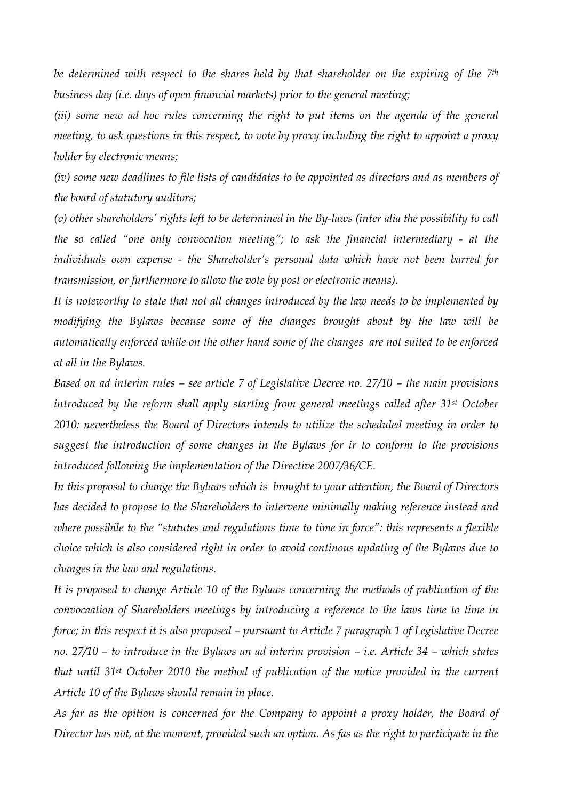*be determined with respect to the shares held by that shareholder on the expiring of the 7th business day (i.e. days of open financial markets) prior to the general meeting;* 

*(iii) some new ad hoc rules concerning the right to put items on the agenda of the general meeting, to ask questions in this respect, to vote by proxy including the right to appoint a proxy holder by electronic means;* 

*(iv) some new deadlines to file lists of candidates to be appointed as directors and as members of the board of statutory auditors;* 

*(v) other shareholders' rights left to be determined in the By-laws (inter alia the possibility to call the so called "one only convocation meeting"; to ask the financial intermediary - at the individuals own expense - the Shareholder's personal data which have not been barred for transmission, or furthermore to allow the vote by post or electronic means).* 

*It is noteworthy to state that not all changes introduced by the law needs to be implemented by modifying the Bylaws because some of the changes brought about by the law will be automatically enforced while on the other hand some of the changes are not suited to be enforced at all in the Bylaws.* 

*Based on ad interim rules – see article 7 of Legislative Decree no. 27/10 – the main provisions introduced by the reform shall apply starting from general meetings called after 31st October 2010: nevertheless the Board of Directors intends to utilize the scheduled meeting in order to suggest the introduction of some changes in the Bylaws for ir to conform to the provisions introduced following the implementation of the Directive 2007/36/CE.* 

*In this proposal to change the Bylaws which is brought to your attention, the Board of Directors has decided to propose to the Shareholders to intervene minimally making reference instead and where possibile to the "statutes and regulations time to time in force": this represents a flexible choice which is also considered right in order to avoid continous updating of the Bylaws due to changes in the law and regulations.* 

*It is proposed to change Article 10 of the Bylaws concerning the methods of publication of the convocaation of Shareholders meetings by introducing a reference to the laws time to time in force; in this respect it is also proposed – pursuant to Article 7 paragraph 1 of Legislative Decree no. 27/10 – to introduce in the Bylaws an ad interim provision – i.e. Article 34 – which states that until 31st October 2010 the method of publication of the notice provided in the current Article 10 of the Bylaws should remain in place.* 

*As far as the opition is concerned for the Company to appoint a proxy holder, the Board of Director has not, at the moment, provided such an option. As fas as the right to participate in the*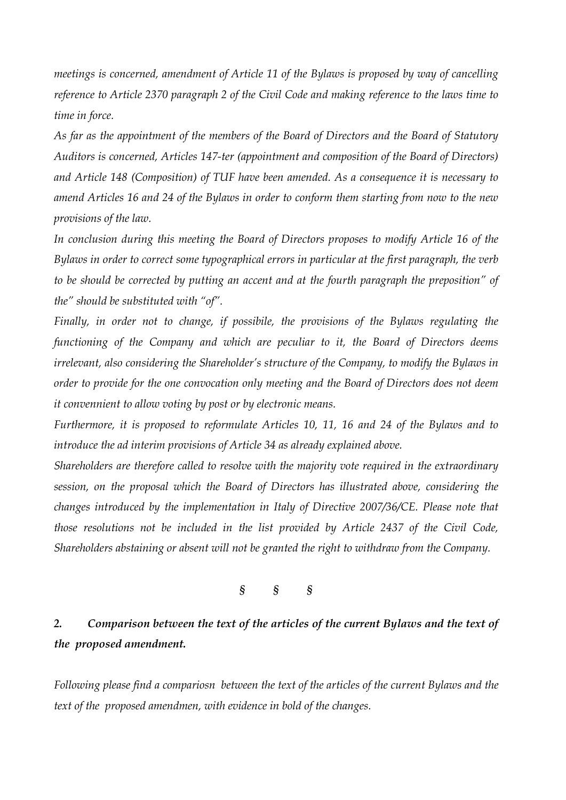*meetings is concerned, amendment of Article 11 of the Bylaws is proposed by way of cancelling reference to Article 2370 paragraph 2 of the Civil Code and making reference to the laws time to time in force.* 

*As far as the appointment of the members of the Board of Directors and the Board of Statutory Auditors is concerned, Articles 147-ter (appointment and composition of the Board of Directors) and Article 148 (Composition) of TUF have been amended. As a consequence it is necessary to amend Articles 16 and 24 of the Bylaws in order to conform them starting from now to the new provisions of the law.* 

*In conclusion during this meeting the Board of Directors proposes to modify Article 16 of the Bylaws in order to correct some typographical errors in particular at the first paragraph, the verb to be should be corrected by putting an accent and at the fourth paragraph the preposition" of the" should be substituted with "of".* 

*Finally, in order not to change, if possibile, the provisions of the Bylaws regulating the functioning of the Company and which are peculiar to it, the Board of Directors deems irrelevant, also considering the Shareholder's structure of the Company, to modify the Bylaws in order to provide for the one convocation only meeting and the Board of Directors does not deem it convennient to allow voting by post or by electronic means.* 

*Furthermore, it is proposed to reformulate Articles 10, 11, 16 and 24 of the Bylaws and to introduce the ad interim provisions of Article 34 as already explained above.* 

*Shareholders are therefore called to resolve with the majority vote required in the extraordinary session, on the proposal which the Board of Directors has illustrated above, considering the changes introduced by the implementation in Italy of Directive 2007/36/CE. Please note that those resolutions not be included in the list provided by Article 2437 of the Civil Code, Shareholders abstaining or absent will not be granted the right to withdraw from the Company.* 

### *§ § §*

## *2. Comparison between the text of the articles of the current Bylaws and the text of the proposed amendment.*

*Following please find a compariosn between the text of the articles of the current Bylaws and the text of the proposed amendmen, with evidence in bold of the changes.*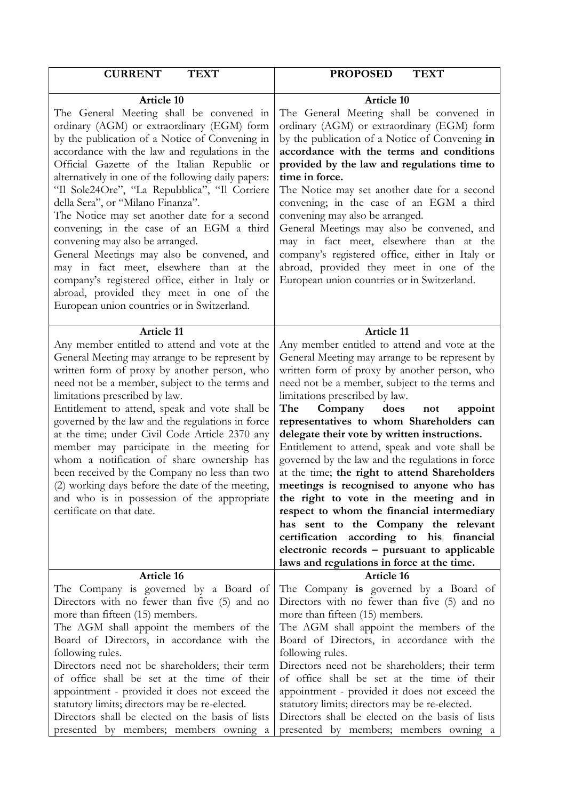| <b>CURRENT</b>                                                                                                                                                                                                                                                                                                                                                                                                                                                                                                                                                                                                                                                                                                                                                                    | <b>PROPOSED</b>                                                                                                                                                                                                                                                                                                                                                                                                                                                                                                                                                                                                                                                                                                                                                                                                                                                               |
|-----------------------------------------------------------------------------------------------------------------------------------------------------------------------------------------------------------------------------------------------------------------------------------------------------------------------------------------------------------------------------------------------------------------------------------------------------------------------------------------------------------------------------------------------------------------------------------------------------------------------------------------------------------------------------------------------------------------------------------------------------------------------------------|-------------------------------------------------------------------------------------------------------------------------------------------------------------------------------------------------------------------------------------------------------------------------------------------------------------------------------------------------------------------------------------------------------------------------------------------------------------------------------------------------------------------------------------------------------------------------------------------------------------------------------------------------------------------------------------------------------------------------------------------------------------------------------------------------------------------------------------------------------------------------------|
| <b>TEXT</b>                                                                                                                                                                                                                                                                                                                                                                                                                                                                                                                                                                                                                                                                                                                                                                       | <b>TEXT</b>                                                                                                                                                                                                                                                                                                                                                                                                                                                                                                                                                                                                                                                                                                                                                                                                                                                                   |
| <b>Article 10</b><br>The General Meeting shall be convened in<br>ordinary (AGM) or extraordinary (EGM) form<br>by the publication of a Notice of Convening in<br>accordance with the law and regulations in the<br>Official Gazette of the Italian Republic or<br>alternatively in one of the following daily papers:<br>"Il Sole24Ore", "La Repubblica", "Il Corriere<br>della Sera", or "Milano Finanza".<br>The Notice may set another date for a second<br>convening; in the case of an EGM a third<br>convening may also be arranged.<br>General Meetings may also be convened, and<br>may in fact meet, elsewhere than at the<br>company's registered office, either in Italy or<br>abroad, provided they meet in one of the<br>European union countries or in Switzerland. | <b>Article 10</b><br>The General Meeting shall be convened in<br>ordinary (AGM) or extraordinary (EGM) form<br>by the publication of a Notice of Convening in<br>accordance with the terms and conditions<br>provided by the law and regulations time to<br>time in force.<br>The Notice may set another date for a second<br>convening; in the case of an EGM a third<br>convening may also be arranged.<br>General Meetings may also be convened, and<br>may in fact meet, elsewhere than at the<br>company's registered office, either in Italy or<br>abroad, provided they meet in one of the<br>European union countries or in Switzerland.                                                                                                                                                                                                                              |
| <b>Article 11</b><br>Any member entitled to attend and vote at the<br>General Meeting may arrange to be represent by<br>written form of proxy by another person, who<br>need not be a member, subject to the terms and<br>limitations prescribed by law.<br>Entitlement to attend, speak and vote shall be<br>governed by the law and the regulations in force<br>at the time; under Civil Code Article 2370 any<br>member may participate in the meeting for<br>whom a notification of share ownership has<br>been received by the Company no less than two<br>(2) working days before the date of the meeting,<br>and who is in possession of the appropriate<br>certificate on that date.                                                                                      | <b>Article 11</b><br>Any member entitled to attend and vote at the<br>General Meeting may arrange to be represent by<br>written form of proxy by another person, who<br>need not be a member, subject to the terms and<br>limitations prescribed by law.<br>The<br>Company<br>does<br>not<br>appoint<br>representatives to whom Shareholders can<br>delegate their vote by written instructions.<br>Entitlement to attend, speak and vote shall be<br>governed by the law and the regulations in force<br>at the time; the right to attend Shareholders<br>meetings is recognised to anyone who has<br>the right to vote in the meeting and in<br>respect to whom the financial intermediary<br>has sent to the Company the relevant<br>certification according to his financial<br>electronic records – pursuant to applicable<br>laws and regulations in force at the time. |
| Article 16                                                                                                                                                                                                                                                                                                                                                                                                                                                                                                                                                                                                                                                                                                                                                                        | <b>Article 16</b>                                                                                                                                                                                                                                                                                                                                                                                                                                                                                                                                                                                                                                                                                                                                                                                                                                                             |
| The Company is governed by a Board of                                                                                                                                                                                                                                                                                                                                                                                                                                                                                                                                                                                                                                                                                                                                             | The Company is governed by a Board of                                                                                                                                                                                                                                                                                                                                                                                                                                                                                                                                                                                                                                                                                                                                                                                                                                         |
| Directors with no fewer than five (5) and no                                                                                                                                                                                                                                                                                                                                                                                                                                                                                                                                                                                                                                                                                                                                      | Directors with no fewer than five (5) and no                                                                                                                                                                                                                                                                                                                                                                                                                                                                                                                                                                                                                                                                                                                                                                                                                                  |
| more than fifteen (15) members.                                                                                                                                                                                                                                                                                                                                                                                                                                                                                                                                                                                                                                                                                                                                                   | more than fifteen (15) members.                                                                                                                                                                                                                                                                                                                                                                                                                                                                                                                                                                                                                                                                                                                                                                                                                                               |
| The AGM shall appoint the members of the                                                                                                                                                                                                                                                                                                                                                                                                                                                                                                                                                                                                                                                                                                                                          | The AGM shall appoint the members of the                                                                                                                                                                                                                                                                                                                                                                                                                                                                                                                                                                                                                                                                                                                                                                                                                                      |
| Board of Directors, in accordance with the                                                                                                                                                                                                                                                                                                                                                                                                                                                                                                                                                                                                                                                                                                                                        | Board of Directors, in accordance with the                                                                                                                                                                                                                                                                                                                                                                                                                                                                                                                                                                                                                                                                                                                                                                                                                                    |
| following rules.                                                                                                                                                                                                                                                                                                                                                                                                                                                                                                                                                                                                                                                                                                                                                                  | following rules.                                                                                                                                                                                                                                                                                                                                                                                                                                                                                                                                                                                                                                                                                                                                                                                                                                                              |
| Directors need not be shareholders; their term                                                                                                                                                                                                                                                                                                                                                                                                                                                                                                                                                                                                                                                                                                                                    | Directors need not be shareholders; their term                                                                                                                                                                                                                                                                                                                                                                                                                                                                                                                                                                                                                                                                                                                                                                                                                                |
| of office shall be set at the time of their                                                                                                                                                                                                                                                                                                                                                                                                                                                                                                                                                                                                                                                                                                                                       | of office shall be set at the time of their                                                                                                                                                                                                                                                                                                                                                                                                                                                                                                                                                                                                                                                                                                                                                                                                                                   |
| appointment - provided it does not exceed the                                                                                                                                                                                                                                                                                                                                                                                                                                                                                                                                                                                                                                                                                                                                     | appointment - provided it does not exceed the                                                                                                                                                                                                                                                                                                                                                                                                                                                                                                                                                                                                                                                                                                                                                                                                                                 |
| statutory limits; directors may be re-elected.                                                                                                                                                                                                                                                                                                                                                                                                                                                                                                                                                                                                                                                                                                                                    | statutory limits; directors may be re-elected.                                                                                                                                                                                                                                                                                                                                                                                                                                                                                                                                                                                                                                                                                                                                                                                                                                |
| Directors shall be elected on the basis of lists                                                                                                                                                                                                                                                                                                                                                                                                                                                                                                                                                                                                                                                                                                                                  | Directors shall be elected on the basis of lists                                                                                                                                                                                                                                                                                                                                                                                                                                                                                                                                                                                                                                                                                                                                                                                                                              |
| presented by members; members owning a                                                                                                                                                                                                                                                                                                                                                                                                                                                                                                                                                                                                                                                                                                                                            | presented by members; members owning a                                                                                                                                                                                                                                                                                                                                                                                                                                                                                                                                                                                                                                                                                                                                                                                                                                        |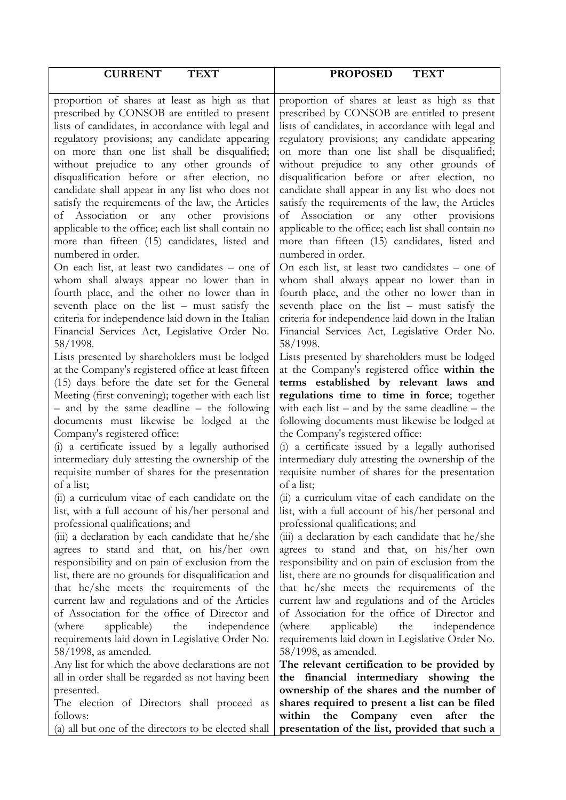| <b>CURRENT</b><br><b>TEXT</b>                                                                                                                                                                                                                                                                                                                                                                                                                                                                                                                                                                                                       | <b>PROPOSED</b><br><b>TEXT</b>                                                                                                                                                                                                                                                                                                                                                                                                                                                                                                                                                                                                        |
|-------------------------------------------------------------------------------------------------------------------------------------------------------------------------------------------------------------------------------------------------------------------------------------------------------------------------------------------------------------------------------------------------------------------------------------------------------------------------------------------------------------------------------------------------------------------------------------------------------------------------------------|---------------------------------------------------------------------------------------------------------------------------------------------------------------------------------------------------------------------------------------------------------------------------------------------------------------------------------------------------------------------------------------------------------------------------------------------------------------------------------------------------------------------------------------------------------------------------------------------------------------------------------------|
|                                                                                                                                                                                                                                                                                                                                                                                                                                                                                                                                                                                                                                     |                                                                                                                                                                                                                                                                                                                                                                                                                                                                                                                                                                                                                                       |
| proportion of shares at least as high as that<br>prescribed by CONSOB are entitled to present<br>lists of candidates, in accordance with legal and<br>regulatory provisions; any candidate appearing<br>on more than one list shall be disqualified;<br>without prejudice to any other grounds of<br>disqualification before or after election, no<br>candidate shall appear in any list who does not<br>satisfy the requirements of the law, the Articles<br>of Association or any other provisions<br>applicable to the office; each list shall contain no<br>more than fifteen (15) candidates, listed and<br>numbered in order. | proportion of shares at least as high as that<br>prescribed by CONSOB are entitled to present<br>lists of candidates, in accordance with legal and<br>regulatory provisions; any candidate appearing<br>on more than one list shall be disqualified;<br>without prejudice to any other grounds of<br>disqualification before or after election, no<br>candidate shall appear in any list who does not<br>satisfy the requirements of the law, the Articles<br>of Association or any other provisions<br>applicable to the office; each list shall contain no<br>more than fifteen (15) candidates, listed and<br>numbered in order.   |
| On each list, at least two candidates - one of<br>whom shall always appear no lower than in<br>fourth place, and the other no lower than in<br>seventh place on the list – must satisfy the<br>criteria for independence laid down in the Italian<br>Financial Services Act, Legislative Order No.<br>58/1998.                                                                                                                                                                                                                                                                                                                      | On each list, at least two candidates – one of<br>whom shall always appear no lower than in<br>fourth place, and the other no lower than in<br>seventh place on the list – must satisfy the<br>criteria for independence laid down in the Italian<br>Financial Services Act, Legislative Order No.<br>58/1998.                                                                                                                                                                                                                                                                                                                        |
| Lists presented by shareholders must be lodged<br>at the Company's registered office at least fifteen<br>(15) days before the date set for the General<br>Meeting (first convening); together with each list<br>- and by the same deadline - the following<br>documents must likewise be lodged at the<br>Company's registered office:<br>a certificate issued by a legally authorised<br>(i)<br>intermediary duly attesting the ownership of the<br>requisite number of shares for the presentation<br>of a list;                                                                                                                  | Lists presented by shareholders must be lodged<br>at the Company's registered office within the<br>terms established by relevant laws and<br>regulations time to time in force; together<br>with each list $-$ and by the same deadline $-$ the<br>following documents must likewise be lodged at<br>the Company's registered office:<br>(i) a certificate issued by a legally authorised<br>intermediary duly attesting the ownership of the<br>requisite number of shares for the presentation<br>of a list;                                                                                                                        |
| (ii) a curriculum vitae of each candidate on the<br>list, with a full account of his/her personal and<br>professional qualifications; and<br>(iii) a declaration by each candidate that he/she<br>agrees to stand and that, on his/her own<br>responsibility and on pain of exclusion from the<br>list, there are no grounds for disqualification and<br>that he/she meets the requirements of the<br>current law and regulations and of the Articles<br>of Association for the office of Director and<br>applicable) the<br>independence<br>(where<br>requirements laid down in Legislative Order No.<br>$58/1998$ , as amended.   | (ii) a curriculum vitae of each candidate on the<br>list, with a full account of his/her personal and<br>professional qualifications; and<br>(iii) a declaration by each candidate that he/she<br>agrees to stand and that, on his/her own<br>responsibility and on pain of exclusion from the<br>list, there are no grounds for disqualification and<br>that he/she meets the requirements of the<br>current law and regulations and of the Articles<br>of Association for the office of Director and<br>applicable)<br>the<br>(where)<br>independence<br>requirements laid down in Legislative Order No.<br>$58/1998$ , as amended. |
| Any list for which the above declarations are not<br>all in order shall be regarded as not having been<br>presented.<br>The election of Directors shall proceed as<br>follows:<br>(a) all but one of the directors to be elected shall                                                                                                                                                                                                                                                                                                                                                                                              | The relevant certification to be provided by<br>the financial intermediary showing the<br>ownership of the shares and the number of<br>shares required to present a list can be filed<br>Company even<br>within<br>the<br>after<br>the<br>presentation of the list, provided that such a                                                                                                                                                                                                                                                                                                                                              |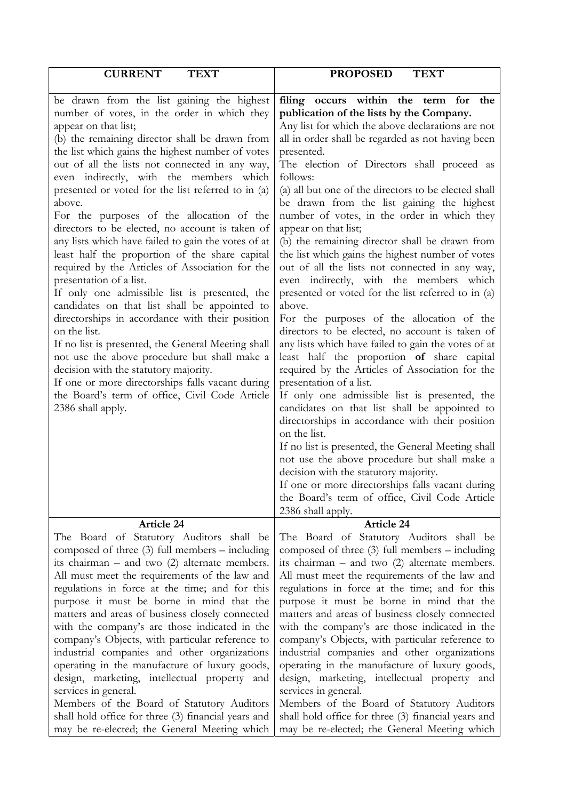| <b>CURRENT</b>                                                                                                                                                                                                                                                                                                                                                                                                                                                                                                                                                                                                                                                                                                                                                                                                                                                                                                                                                                                                                                                                                                             | <b>PROPOSED</b>                                                                                                                                                                                                                                                                                                                                                                                                                                                                                                                                                                                                                                                                                                                                                                                                                                                                                                                                                                                                                                                                                                                                                                                                                                                                                                                                                                                                                                          |
|----------------------------------------------------------------------------------------------------------------------------------------------------------------------------------------------------------------------------------------------------------------------------------------------------------------------------------------------------------------------------------------------------------------------------------------------------------------------------------------------------------------------------------------------------------------------------------------------------------------------------------------------------------------------------------------------------------------------------------------------------------------------------------------------------------------------------------------------------------------------------------------------------------------------------------------------------------------------------------------------------------------------------------------------------------------------------------------------------------------------------|----------------------------------------------------------------------------------------------------------------------------------------------------------------------------------------------------------------------------------------------------------------------------------------------------------------------------------------------------------------------------------------------------------------------------------------------------------------------------------------------------------------------------------------------------------------------------------------------------------------------------------------------------------------------------------------------------------------------------------------------------------------------------------------------------------------------------------------------------------------------------------------------------------------------------------------------------------------------------------------------------------------------------------------------------------------------------------------------------------------------------------------------------------------------------------------------------------------------------------------------------------------------------------------------------------------------------------------------------------------------------------------------------------------------------------------------------------|
| <b>TEXT</b>                                                                                                                                                                                                                                                                                                                                                                                                                                                                                                                                                                                                                                                                                                                                                                                                                                                                                                                                                                                                                                                                                                                | <b>TEXT</b>                                                                                                                                                                                                                                                                                                                                                                                                                                                                                                                                                                                                                                                                                                                                                                                                                                                                                                                                                                                                                                                                                                                                                                                                                                                                                                                                                                                                                                              |
| be drawn from the list gaining the highest<br>number of votes, in the order in which they<br>appear on that list;<br>(b) the remaining director shall be drawn from<br>the list which gains the highest number of votes<br>out of all the lists not connected in any way,<br>even indirectly, with the members which<br>presented or voted for the list referred to in (a)<br>above.<br>For the purposes of the allocation of the<br>directors to be elected, no account is taken of<br>any lists which have failed to gain the votes of at<br>least half the proportion of the share capital<br>required by the Articles of Association for the<br>presentation of a list.<br>If only one admissible list is presented, the<br>candidates on that list shall be appointed to<br>directorships in accordance with their position<br>on the list.<br>If no list is presented, the General Meeting shall<br>not use the above procedure but shall make a<br>decision with the statutory majority.<br>If one or more directorships falls vacant during<br>the Board's term of office, Civil Code Article<br>2386 shall apply. | occurs within the term for the<br>filing<br>publication of the lists by the Company.<br>Any list for which the above declarations are not<br>all in order shall be regarded as not having been<br>presented.<br>The election of Directors shall proceed as<br>follows:<br>(a) all but one of the directors to be elected shall<br>be drawn from the list gaining the highest<br>number of votes, in the order in which they<br>appear on that list;<br>(b) the remaining director shall be drawn from<br>the list which gains the highest number of votes<br>out of all the lists not connected in any way,<br>even indirectly, with the members which<br>presented or voted for the list referred to in (a)<br>above.<br>For the purposes of the allocation of the<br>directors to be elected, no account is taken of<br>any lists which have failed to gain the votes of at<br>least half the proportion of share capital<br>required by the Articles of Association for the<br>presentation of a list.<br>If only one admissible list is presented, the<br>candidates on that list shall be appointed to<br>directorships in accordance with their position<br>on the list.<br>If no list is presented, the General Meeting shall<br>not use the above procedure but shall make a<br>decision with the statutory majority.<br>If one or more directorships falls vacant during<br>the Board's term of office, Civil Code Article<br>2386 shall apply. |
| Article 24                                                                                                                                                                                                                                                                                                                                                                                                                                                                                                                                                                                                                                                                                                                                                                                                                                                                                                                                                                                                                                                                                                                 | <b>Article 24</b>                                                                                                                                                                                                                                                                                                                                                                                                                                                                                                                                                                                                                                                                                                                                                                                                                                                                                                                                                                                                                                                                                                                                                                                                                                                                                                                                                                                                                                        |
| The Board of Statutory Auditors shall be                                                                                                                                                                                                                                                                                                                                                                                                                                                                                                                                                                                                                                                                                                                                                                                                                                                                                                                                                                                                                                                                                   | The Board of Statutory Auditors shall be                                                                                                                                                                                                                                                                                                                                                                                                                                                                                                                                                                                                                                                                                                                                                                                                                                                                                                                                                                                                                                                                                                                                                                                                                                                                                                                                                                                                                 |
| composed of three $(3)$ full members – including                                                                                                                                                                                                                                                                                                                                                                                                                                                                                                                                                                                                                                                                                                                                                                                                                                                                                                                                                                                                                                                                           | composed of three $(3)$ full members – including                                                                                                                                                                                                                                                                                                                                                                                                                                                                                                                                                                                                                                                                                                                                                                                                                                                                                                                                                                                                                                                                                                                                                                                                                                                                                                                                                                                                         |
| its chairman $-$ and two $(2)$ alternate members.                                                                                                                                                                                                                                                                                                                                                                                                                                                                                                                                                                                                                                                                                                                                                                                                                                                                                                                                                                                                                                                                          | its chairman $-$ and two $(2)$ alternate members.                                                                                                                                                                                                                                                                                                                                                                                                                                                                                                                                                                                                                                                                                                                                                                                                                                                                                                                                                                                                                                                                                                                                                                                                                                                                                                                                                                                                        |
| All must meet the requirements of the law and                                                                                                                                                                                                                                                                                                                                                                                                                                                                                                                                                                                                                                                                                                                                                                                                                                                                                                                                                                                                                                                                              | All must meet the requirements of the law and                                                                                                                                                                                                                                                                                                                                                                                                                                                                                                                                                                                                                                                                                                                                                                                                                                                                                                                                                                                                                                                                                                                                                                                                                                                                                                                                                                                                            |
| regulations in force at the time; and for this                                                                                                                                                                                                                                                                                                                                                                                                                                                                                                                                                                                                                                                                                                                                                                                                                                                                                                                                                                                                                                                                             | regulations in force at the time; and for this                                                                                                                                                                                                                                                                                                                                                                                                                                                                                                                                                                                                                                                                                                                                                                                                                                                                                                                                                                                                                                                                                                                                                                                                                                                                                                                                                                                                           |
| purpose it must be borne in mind that the                                                                                                                                                                                                                                                                                                                                                                                                                                                                                                                                                                                                                                                                                                                                                                                                                                                                                                                                                                                                                                                                                  | purpose it must be borne in mind that the                                                                                                                                                                                                                                                                                                                                                                                                                                                                                                                                                                                                                                                                                                                                                                                                                                                                                                                                                                                                                                                                                                                                                                                                                                                                                                                                                                                                                |
| matters and areas of business closely connected                                                                                                                                                                                                                                                                                                                                                                                                                                                                                                                                                                                                                                                                                                                                                                                                                                                                                                                                                                                                                                                                            | matters and areas of business closely connected                                                                                                                                                                                                                                                                                                                                                                                                                                                                                                                                                                                                                                                                                                                                                                                                                                                                                                                                                                                                                                                                                                                                                                                                                                                                                                                                                                                                          |
| with the company's are those indicated in the                                                                                                                                                                                                                                                                                                                                                                                                                                                                                                                                                                                                                                                                                                                                                                                                                                                                                                                                                                                                                                                                              | with the company's are those indicated in the                                                                                                                                                                                                                                                                                                                                                                                                                                                                                                                                                                                                                                                                                                                                                                                                                                                                                                                                                                                                                                                                                                                                                                                                                                                                                                                                                                                                            |
| company's Objects, with particular reference to                                                                                                                                                                                                                                                                                                                                                                                                                                                                                                                                                                                                                                                                                                                                                                                                                                                                                                                                                                                                                                                                            | company's Objects, with particular reference to                                                                                                                                                                                                                                                                                                                                                                                                                                                                                                                                                                                                                                                                                                                                                                                                                                                                                                                                                                                                                                                                                                                                                                                                                                                                                                                                                                                                          |
| industrial companies and other organizations                                                                                                                                                                                                                                                                                                                                                                                                                                                                                                                                                                                                                                                                                                                                                                                                                                                                                                                                                                                                                                                                               | industrial companies and other organizations                                                                                                                                                                                                                                                                                                                                                                                                                                                                                                                                                                                                                                                                                                                                                                                                                                                                                                                                                                                                                                                                                                                                                                                                                                                                                                                                                                                                             |
| operating in the manufacture of luxury goods,                                                                                                                                                                                                                                                                                                                                                                                                                                                                                                                                                                                                                                                                                                                                                                                                                                                                                                                                                                                                                                                                              | operating in the manufacture of luxury goods,                                                                                                                                                                                                                                                                                                                                                                                                                                                                                                                                                                                                                                                                                                                                                                                                                                                                                                                                                                                                                                                                                                                                                                                                                                                                                                                                                                                                            |
| design, marketing, intellectual property and                                                                                                                                                                                                                                                                                                                                                                                                                                                                                                                                                                                                                                                                                                                                                                                                                                                                                                                                                                                                                                                                               | design, marketing, intellectual property and                                                                                                                                                                                                                                                                                                                                                                                                                                                                                                                                                                                                                                                                                                                                                                                                                                                                                                                                                                                                                                                                                                                                                                                                                                                                                                                                                                                                             |
| services in general.                                                                                                                                                                                                                                                                                                                                                                                                                                                                                                                                                                                                                                                                                                                                                                                                                                                                                                                                                                                                                                                                                                       | services in general.                                                                                                                                                                                                                                                                                                                                                                                                                                                                                                                                                                                                                                                                                                                                                                                                                                                                                                                                                                                                                                                                                                                                                                                                                                                                                                                                                                                                                                     |
| Members of the Board of Statutory Auditors                                                                                                                                                                                                                                                                                                                                                                                                                                                                                                                                                                                                                                                                                                                                                                                                                                                                                                                                                                                                                                                                                 | Members of the Board of Statutory Auditors                                                                                                                                                                                                                                                                                                                                                                                                                                                                                                                                                                                                                                                                                                                                                                                                                                                                                                                                                                                                                                                                                                                                                                                                                                                                                                                                                                                                               |
| shall hold office for three (3) financial years and                                                                                                                                                                                                                                                                                                                                                                                                                                                                                                                                                                                                                                                                                                                                                                                                                                                                                                                                                                                                                                                                        | shall hold office for three (3) financial years and                                                                                                                                                                                                                                                                                                                                                                                                                                                                                                                                                                                                                                                                                                                                                                                                                                                                                                                                                                                                                                                                                                                                                                                                                                                                                                                                                                                                      |
| may be re-elected; the General Meeting which                                                                                                                                                                                                                                                                                                                                                                                                                                                                                                                                                                                                                                                                                                                                                                                                                                                                                                                                                                                                                                                                               | may be re-elected; the General Meeting which                                                                                                                                                                                                                                                                                                                                                                                                                                                                                                                                                                                                                                                                                                                                                                                                                                                                                                                                                                                                                                                                                                                                                                                                                                                                                                                                                                                                             |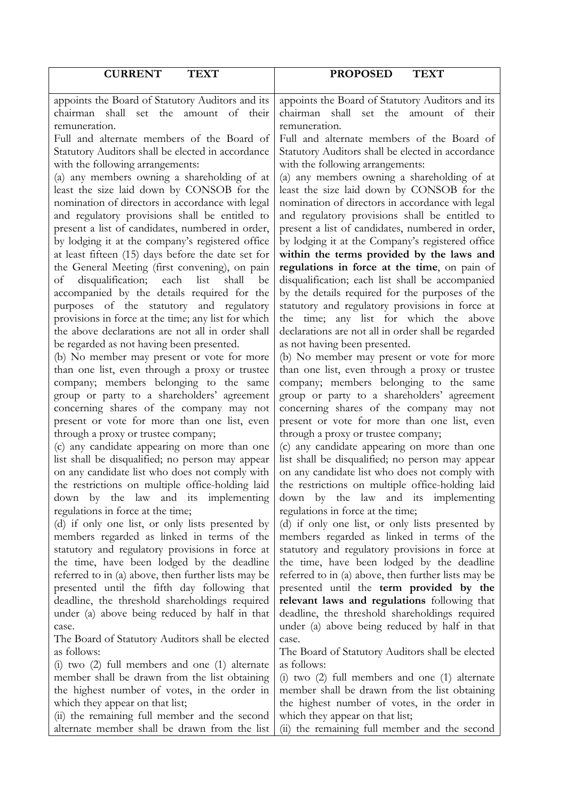| <b>CURRENT</b><br><b>TEXT</b>                                                                          | <b>PROPOSED</b><br><b>TEXT</b>                                                                 |
|--------------------------------------------------------------------------------------------------------|------------------------------------------------------------------------------------------------|
|                                                                                                        |                                                                                                |
| appoints the Board of Statutory Auditors and its<br>chairman shall set the amount of their             | appoints the Board of Statutory Auditors and its<br>chairman shall set the amount of their     |
| remuneration.                                                                                          | remuneration.                                                                                  |
| Full and alternate members of the Board of                                                             | Full and alternate members of the Board of                                                     |
| Statutory Auditors shall be elected in accordance                                                      | Statutory Auditors shall be elected in accordance                                              |
| with the following arrangements:                                                                       | with the following arrangements:                                                               |
| (a) any members owning a shareholding of at                                                            | (a) any members owning a shareholding of at                                                    |
| least the size laid down by CONSOB for the                                                             | least the size laid down by CONSOB for the                                                     |
| nomination of directors in accordance with legal                                                       | nomination of directors in accordance with legal                                               |
| and regulatory provisions shall be entitled to                                                         | and regulatory provisions shall be entitled to                                                 |
| present a list of candidates, numbered in order,                                                       | present a list of candidates, numbered in order,                                               |
| by lodging it at the company's registered office<br>at least fifteen (15) days before the date set for | by lodging it at the Company's registered office<br>within the terms provided by the laws and  |
| the General Meeting (first convening), on pain                                                         | regulations in force at the time, on pain of                                                   |
| disqualification;<br>list<br>each<br>shall<br>οf<br>be                                                 | disqualification; each list shall be accompanied                                               |
| accompanied by the details required for the                                                            | by the details required for the purposes of the                                                |
| purposes of the statutory and regulatory                                                               | statutory and regulatory provisions in force at                                                |
| provisions in force at the time; any list for which                                                    | the time; any list for which the above                                                         |
| the above declarations are not all in order shall                                                      | declarations are not all in order shall be regarded                                            |
| be regarded as not having been presented.                                                              | as not having been presented.                                                                  |
| (b) No member may present or vote for more                                                             | (b) No member may present or vote for more                                                     |
| than one list, even through a proxy or trustee                                                         | than one list, even through a proxy or trustee                                                 |
| company; members belonging to the same                                                                 | company; members belonging to the same                                                         |
| group or party to a shareholders' agreement<br>concerning shares of the company may not                | group or party to a shareholders' agreement<br>concerning shares of the company may not        |
| present or vote for more than one list, even                                                           | present or vote for more than one list, even                                                   |
| through a proxy or trustee company;                                                                    | through a proxy or trustee company;                                                            |
| (c) any candidate appearing on more than one                                                           | (c) any candidate appearing on more than one                                                   |
| list shall be disqualified; no person may appear                                                       | list shall be disqualified; no person may appear                                               |
| on any candidate list who does not comply with                                                         | on any candidate list who does not comply with                                                 |
| the restrictions on multiple office-holding laid                                                       | the restrictions on multiple office-holding laid                                               |
| down by the law and its implementing                                                                   | down by the law and its implementing                                                           |
| regulations in force at the time;                                                                      | regulations in force at the time;                                                              |
| (d) if only one list, or only lists presented by<br>members regarded as linked in terms of the         | (d) if only one list, or only lists presented by<br>members regarded as linked in terms of the |
| statutory and regulatory provisions in force at                                                        | statutory and regulatory provisions in force at                                                |
| the time, have been lodged by the deadline                                                             | the time, have been lodged by the deadline                                                     |
| referred to in (a) above, then further lists may be                                                    | referred to in (a) above, then further lists may be                                            |
| presented until the fifth day following that                                                           | presented until the term provided by the                                                       |
| deadline, the threshold shareholdings required                                                         | relevant laws and regulations following that                                                   |
| under (a) above being reduced by half in that                                                          | deadline, the threshold shareholdings required                                                 |
| case.                                                                                                  | under (a) above being reduced by half in that                                                  |
| The Board of Statutory Auditors shall be elected                                                       | case.                                                                                          |
| as follows:                                                                                            | The Board of Statutory Auditors shall be elected<br>as follows:                                |
| $(i)$ two $(2)$ full members and one $(1)$ alternate<br>member shall be drawn from the list obtaining  | $(i)$ two $(2)$ full members and one $(1)$ alternate                                           |
| the highest number of votes, in the order in                                                           | member shall be drawn from the list obtaining                                                  |
| which they appear on that list;                                                                        | the highest number of votes, in the order in                                                   |
| (ii) the remaining full member and the second                                                          | which they appear on that list;                                                                |
| alternate member shall be drawn from the list                                                          | (ii) the remaining full member and the second                                                  |